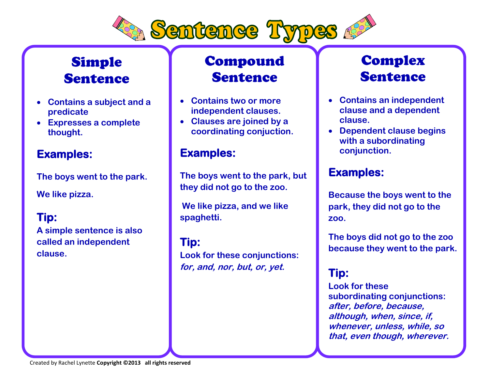

# Simple **Sentence**

- **Contains a subject and a predicate**
- **Expresses a complete thought.**

#### **Examples:**

**The boys went to the park.**

**We like pizza.**

#### **Tip:**

**A simple sentence is also called an independent clause.**

# Compound **Sentence**

- **Contains two or more independent clauses.**
- **Clauses are joined by a coordinating conjuction.**

#### **Examples:**

**The boys went to the park, but they did not go to the zoo.**

**We like pizza, and we like spaghetti.** 

**Tip: Look for these conjunctions: for, and, nor, but, or, yet.**

## **Complex Sentence**

- **Contains an independent clause and a dependent clause.**
- **Dependent clause begins with a subordinating conjunction.**

#### **Examples:**

**Because the boys went to the park, they did not go to the zoo.**

**The boys did not go to the zoo because they went to the park.** 

### **Tip:**

**Look for these subordinating conjunctions: after, before, because, although, when, since, if, whenever, unless, while, so that, even though, wherever.**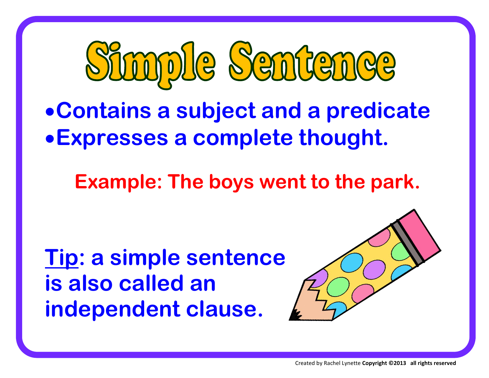

**Contains a subject and a predicate Expresses a complete thought.**

 **Example: The boys went to the park.**

**Tip: a simple sentence is also called an independent clause.**



Created by Rachel Lynette **Copyright ©2013 all rights reserved**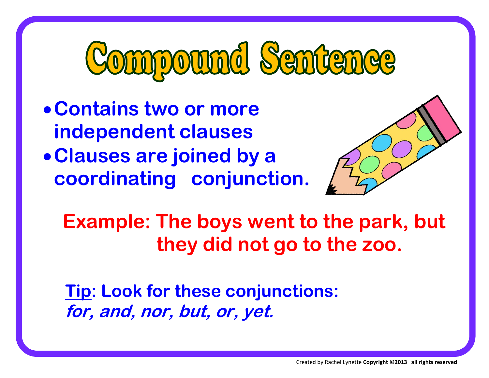# Compound Sentence

**Contains two or more independent clauses Clauses are joined by a coordinating conjunction.** 



 **Example: The boys went to the park, but they did not go to the zoo.** 

**Tip: Look for these conjunctions: for, and, nor, but, or, yet.**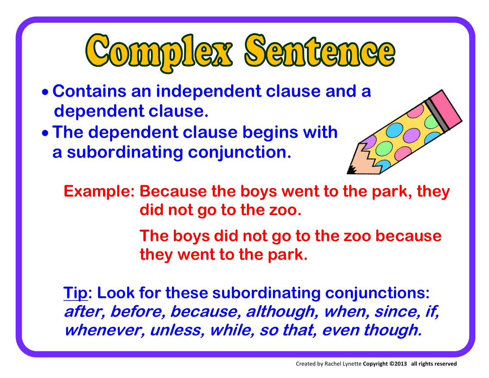

- **Contains an independent clause and a dependent clause.**
- **The dependent clause begins with a subordinating conjunction.**

**Example: Because the boys went to the park, they did not go to the zoo.** 

> **The boys did not go to the zoo because they went to the park.**

**Tip: Look for these subordinating conjunctions: after, before, because, although, when, since, if, whenever, unless, while, so that, even though.**